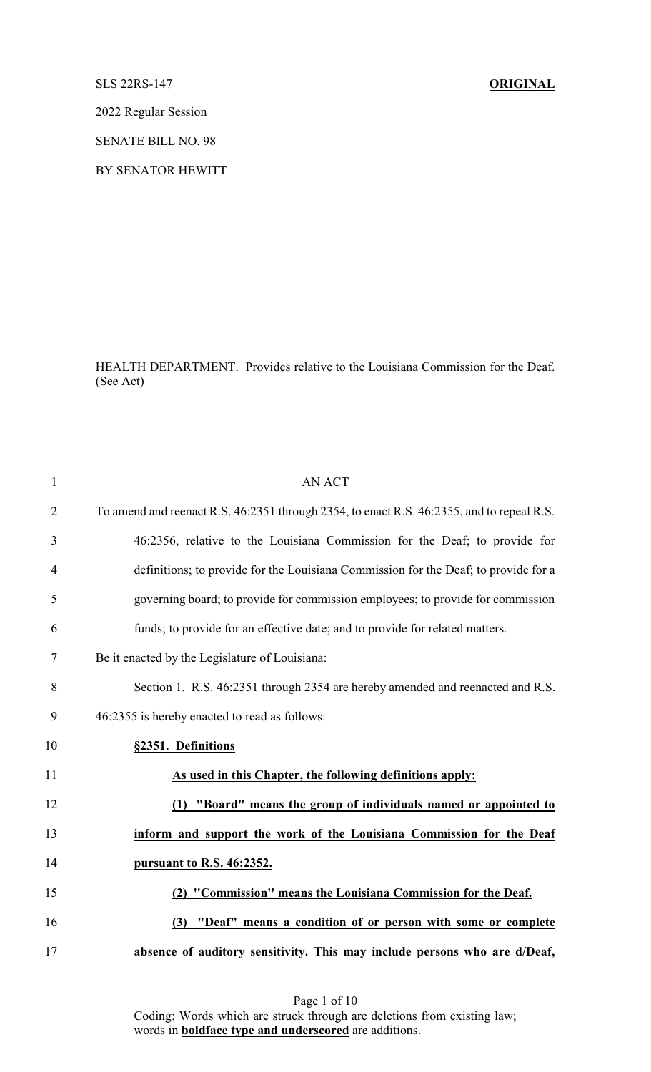SLS 22RS-147 **ORIGINAL**

2022 Regular Session

SENATE BILL NO. 98

BY SENATOR HEWITT

HEALTH DEPARTMENT. Provides relative to the Louisiana Commission for the Deaf. (See Act)

| $\mathbf{1}$   | <b>AN ACT</b>                                                                             |
|----------------|-------------------------------------------------------------------------------------------|
| $\overline{2}$ | To amend and reenact R.S. 46:2351 through 2354, to enact R.S. 46:2355, and to repeal R.S. |
| 3              | 46:2356, relative to the Louisiana Commission for the Deaf; to provide for                |
| $\overline{4}$ | definitions; to provide for the Louisiana Commission for the Deaf; to provide for a       |
| 5              | governing board; to provide for commission employees; to provide for commission           |
| 6              | funds; to provide for an effective date; and to provide for related matters.              |
| $\tau$         | Be it enacted by the Legislature of Louisiana:                                            |
| 8              | Section 1. R.S. 46:2351 through 2354 are hereby amended and reenacted and R.S.            |
| 9              | 46:2355 is hereby enacted to read as follows:                                             |
| 10             | §2351. Definitions                                                                        |
| 11             | As used in this Chapter, the following definitions apply:                                 |
| 12             | "Board" means the group of individuals named or appointed to<br>(1)                       |
| 13             | inform and support the work of the Louisiana Commission for the Deaf                      |
| 14             | pursuant to R.S. 46:2352.                                                                 |
| 15             | (2) "Commission" means the Louisiana Commission for the Deaf.                             |
| 16             | (3) "Deaf" means a condition of or person with some or complete                           |
| 17             | absence of auditory sensitivity. This may include persons who are d/Deaf,                 |
|                |                                                                                           |

Page 1 of 10 Coding: Words which are struck through are deletions from existing law; words in **boldface type and underscored** are additions.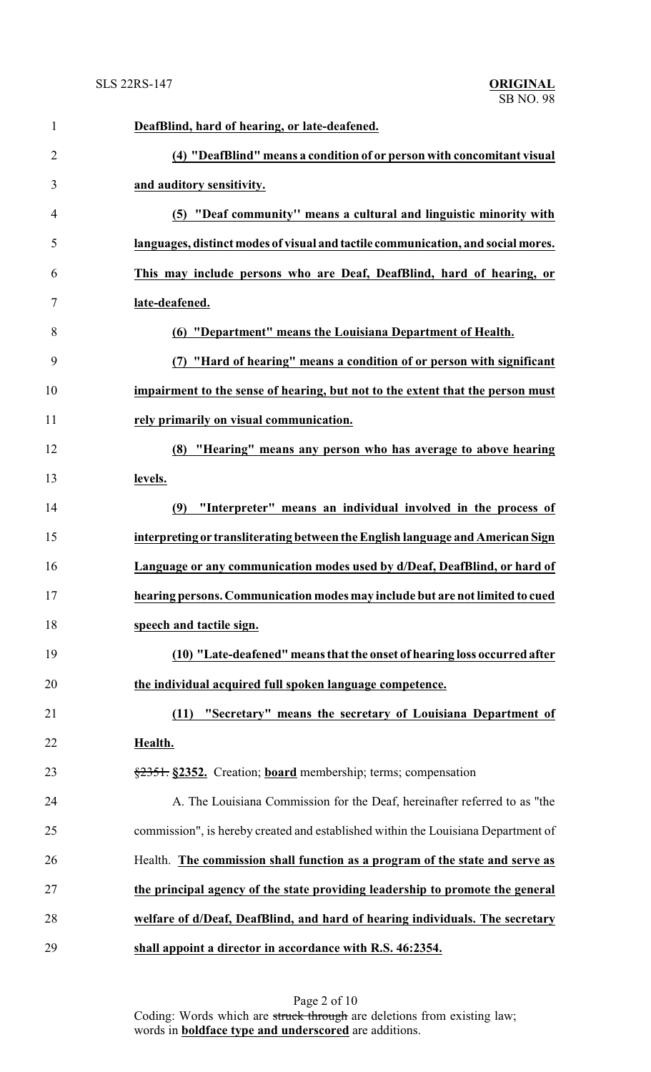| $\mathbf{1}$   | DeafBlind, hard of hearing, or late-deafened.                                     |
|----------------|-----------------------------------------------------------------------------------|
| $\overline{2}$ | (4) "DeafBlind" means a condition of or person with concomitant visual            |
| 3              | and auditory sensitivity.                                                         |
| $\overline{4}$ | (5) "Deaf community" means a cultural and linguistic minority with                |
| 5              | languages, distinct modes of visual and tactile communication, and social mores.  |
| 6              | This may include persons who are Deaf, DeafBlind, hard of hearing, or             |
| $\tau$         | late-deafened.                                                                    |
| 8              | (6) "Department" means the Louisiana Department of Health.                        |
| 9              | "Hard of hearing" means a condition of or person with significant                 |
| 10             | impairment to the sense of hearing, but not to the extent that the person must    |
| 11             | rely primarily on visual communication.                                           |
| 12             | (8) "Hearing" means any person who has average to above hearing                   |
| 13             | levels.                                                                           |
| 14             | "Interpreter" means an individual involved in the process of<br>(9)               |
| 15             | interpreting or transliterating between the English language and American Sign    |
| 16             | Language or any communication modes used by d/Deaf, DeafBlind, or hard of         |
| 17             | hearing persons. Communication modes may include but are not limited to cued      |
| 18             | speech and tactile sign.                                                          |
| 19             | (10) "Late-deafened" means that the onset of hearing loss occurred after          |
| 20             | the individual acquired full spoken language competence.                          |
| 21             | "Secretary" means the secretary of Louisiana Department of<br>(11)                |
| 22             | Health.                                                                           |
| 23             | §2351. §2352. Creation; board membership; terms; compensation                     |
| 24             | A. The Louisiana Commission for the Deaf, hereinafter referred to as "the         |
| 25             | commission", is hereby created and established within the Louisiana Department of |
| 26             | Health. The commission shall function as a program of the state and serve as      |
| 27             | the principal agency of the state providing leadership to promote the general     |
| 28             | welfare of d/Deaf, DeafBlind, and hard of hearing individuals. The secretary      |
| 29             | shall appoint a director in accordance with R.S. 46:2354.                         |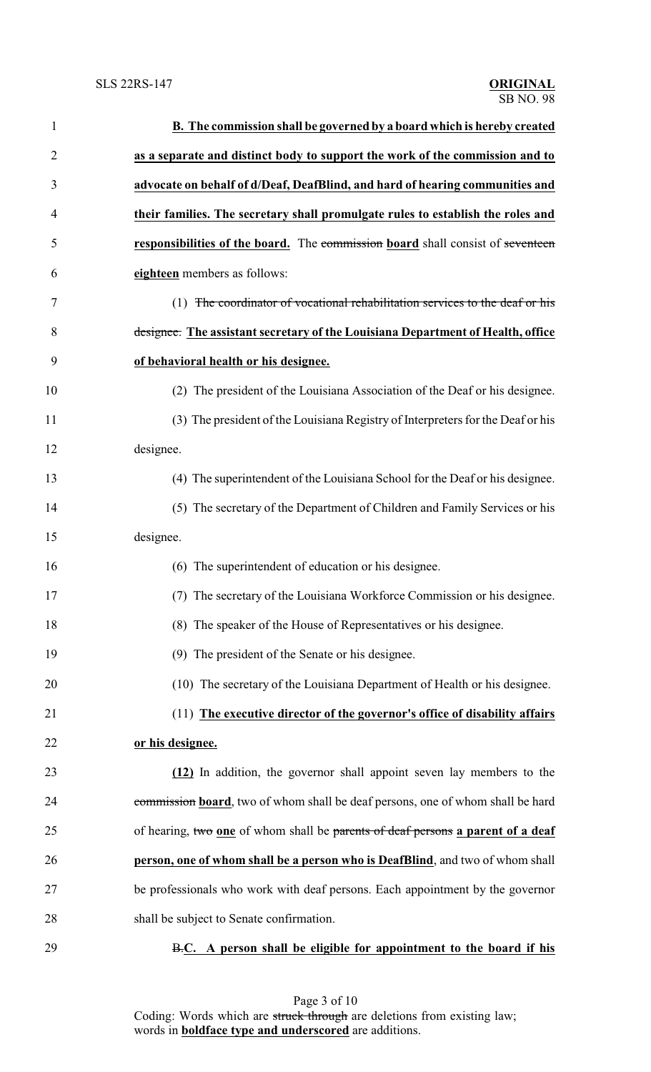| $\mathbf{1}$   | B. The commission shall be governed by a board which is hereby created          |
|----------------|---------------------------------------------------------------------------------|
| $\overline{2}$ | as a separate and distinct body to support the work of the commission and to    |
| 3              | advocate on behalf of d/Deaf, DeafBlind, and hard of hearing communities and    |
| 4              | their families. The secretary shall promulgate rules to establish the roles and |
| 5              | responsibilities of the board. The commission board shall consist of seventeen  |
| 6              | eighteen members as follows:                                                    |
| 7              | (1) The coordinator of vocational rehabilitation services to the deaf or his    |
| 8              | designee. The assistant secretary of the Louisiana Department of Health, office |
| 9              | of behavioral health or his designee.                                           |
| 10             | (2) The president of the Louisiana Association of the Deaf or his designee.     |
| 11             | (3) The president of the Louisiana Registry of Interpreters for the Deaf or his |
| 12             | designee.                                                                       |
| 13             | (4) The superintendent of the Louisiana School for the Deaf or his designee.    |
| 14             | (5) The secretary of the Department of Children and Family Services or his      |
| 15             | designee.                                                                       |
| 16             | (6) The superintendent of education or his designee.                            |
| 17             | (7) The secretary of the Louisiana Workforce Commission or his designee.        |
| 18             | (8) The speaker of the House of Representatives or his designee.                |
| 19             | (9) The president of the Senate or his designee.                                |
| 20             | (10) The secretary of the Louisiana Department of Health or his designee.       |
| 21             | (11) The executive director of the governor's office of disability affairs      |
| 22             | or his designee.                                                                |
| 23             | (12) In addition, the governor shall appoint seven lay members to the           |
| 24             | commission board, two of whom shall be deaf persons, one of whom shall be hard  |
| 25             | of hearing, two one of whom shall be parents of deaf persons a parent of a deaf |
| 26             | person, one of whom shall be a person who is DeafBlind, and two of whom shall   |
| 27             | be professionals who work with deaf persons. Each appointment by the governor   |
| 28             | shall be subject to Senate confirmation.                                        |
| 29             | B.C. A person shall be eligible for appointment to the board if his             |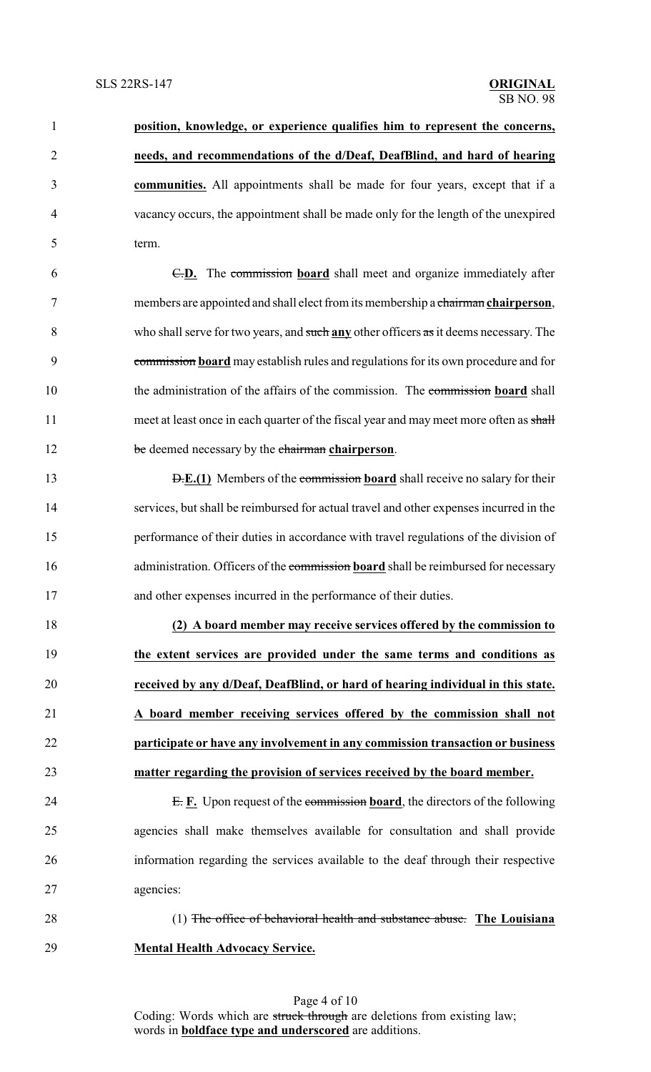| $\mathbf{1}$   | position, knowledge, or experience qualifies him to represent the concerns,            |
|----------------|----------------------------------------------------------------------------------------|
| $\overline{2}$ | needs, and recommendations of the d/Deaf, DeafBlind, and hard of hearing               |
| 3              | communities. All appointments shall be made for four years, except that if a           |
| $\overline{4}$ | vacancy occurs, the appointment shall be made only for the length of the unexpired     |
| 5              | term.                                                                                  |
| 6              | E.D. The commission board shall meet and organize immediately after                    |
| $\tau$         | members are appointed and shall elect from its membership a chairman chairperson,      |
| 8              | who shall serve for two years, and such any other officers as it deems necessary. The  |
| 9              | commission board may establish rules and regulations for its own procedure and for     |
| 10             | the administration of the affairs of the commission. The commission board shall        |
| 11             | meet at least once in each quarter of the fiscal year and may meet more often as shall |
| 12             | be deemed necessary by the chairman chairperson.                                       |
| 13             | <b>D.E.(1)</b> Members of the commission board shall receive no salary for their       |
| 14             | services, but shall be reimbursed for actual travel and other expenses incurred in the |
| 15             | performance of their duties in accordance with travel regulations of the division of   |
| 16             | administration. Officers of the commission board shall be reimbursed for necessary     |
| 17             | and other expenses incurred in the performance of their duties.                        |

 **(2) A board member may receive services offered by the commission to the extent services are provided under the same terms and conditions as received by any d/Deaf, DeafBlind, or hard of hearing individual in this state. A board member receiving services offered by the commission shall not participate or have any involvement in any commission transaction or business matter regarding the provision of services received by the board member.**

- 24 E. **F.** Upon request of the commission **board**, the directors of the following agencies shall make themselves available for consultation and shall provide information regarding the services available to the deaf through their respective agencies:
- 

 (1) The office of behavioral health and substance abuse. **The Louisiana Mental Health Advocacy Service.**

Page 4 of 10 Coding: Words which are struck through are deletions from existing law; words in **boldface type and underscored** are additions.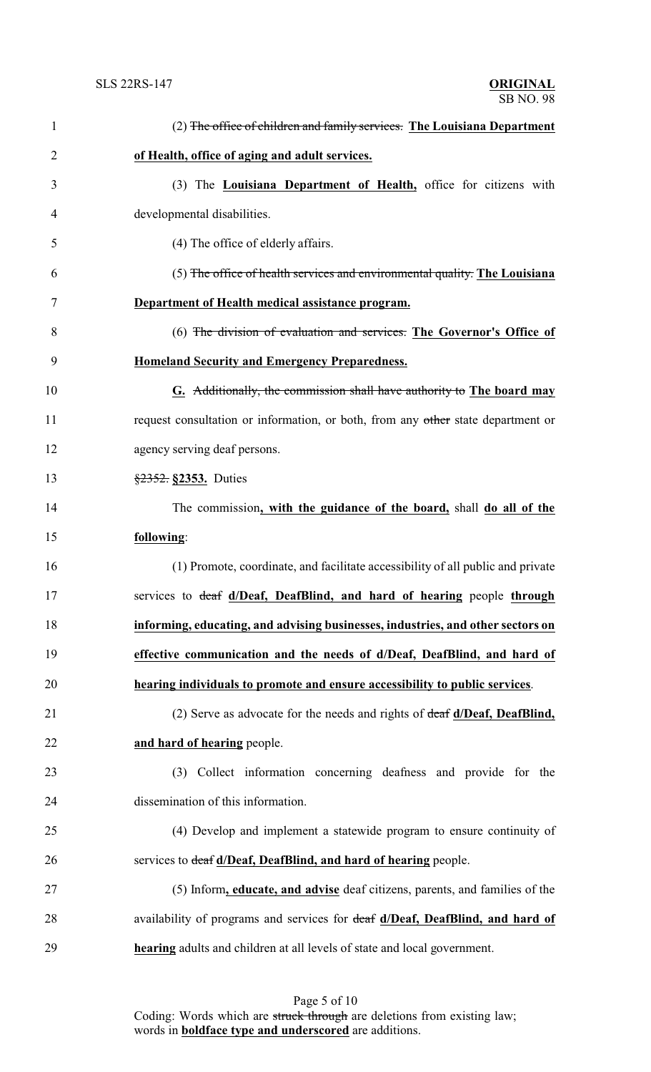| $\mathbf{1}$   | (2) The office of children and family services. The Louisiana Department         |
|----------------|----------------------------------------------------------------------------------|
| $\overline{2}$ | of Health, office of aging and adult services.                                   |
| 3              | (3) The Louisiana Department of Health, office for citizens with                 |
| 4              | developmental disabilities.                                                      |
| 5              | (4) The office of elderly affairs.                                               |
| 6              | (5) The office of health services and environmental quality. The Louisiana       |
| 7              | Department of Health medical assistance program.                                 |
| 8              | (6) The division of evaluation and services. The Governor's Office of            |
| 9              | <b>Homeland Security and Emergency Preparedness.</b>                             |
| 10             | G. Additionally, the commission shall have authority to The board may            |
| 11             | request consultation or information, or both, from any other state department or |
| 12             | agency serving deaf persons.                                                     |
| 13             | $\frac{$2352}{,}$ \$2353. Duties                                                 |
| 14             | The commission, with the guidance of the board, shall do all of the              |
| 15             | following:                                                                       |
| 16             | (1) Promote, coordinate, and facilitate accessibility of all public and private  |
| 17             | services to deaf d/Deaf, DeafBlind, and hard of hearing people through           |
| 18             | informing, educating, and advising businesses, industries, and other sectors on  |
| 19             | effective communication and the needs of d/Deaf, DeafBlind, and hard of          |
| 20             | hearing individuals to promote and ensure accessibility to public services.      |
| 21             | (2) Serve as advocate for the needs and rights of deaf d/Deaf, DeafBlind,        |
| 22             | and hard of hearing people.                                                      |
| 23             | (3) Collect information concerning deafness and provide for the                  |
| 24             | dissemination of this information.                                               |
| 25             | (4) Develop and implement a statewide program to ensure continuity of            |
| 26             | services to deaf d/Deaf, DeafBlind, and hard of hearing people.                  |
| 27             | (5) Inform, educate, and advise deaf citizens, parents, and families of the      |
| 28             | availability of programs and services for deaf d/Deaf, DeafBlind, and hard of    |
| 29             | <b>hearing</b> adults and children at all levels of state and local government.  |

Page 5 of 10 Coding: Words which are struck through are deletions from existing law; words in **boldface type and underscored** are additions.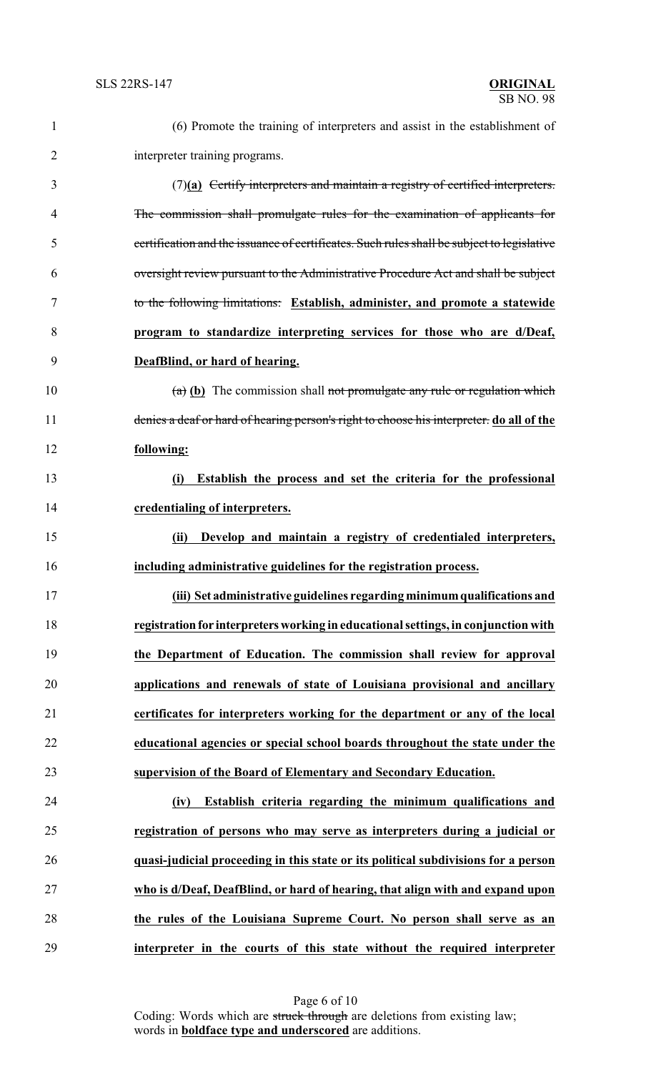| $\mathbf{1}$   | (6) Promote the training of interpreters and assist in the establishment of                |
|----------------|--------------------------------------------------------------------------------------------|
| $\overline{2}$ | interpreter training programs.                                                             |
| 3              | $(7)(a)$ Certify interpreters and maintain a registry of certified interpreters.           |
| 4              | The commission shall promulgate rules for the examination of applicants for                |
| 5              | certification and the issuance of certificates. Such rules shall be subject to legislative |
| 6              | oversight review pursuant to the Administrative Procedure Act and shall be subject         |
| 7              | to the following limitations: Establish, administer, and promote a statewide               |
| 8              | program to standardize interpreting services for those who are d/Deaf,                     |
| 9              | DeafBlind, or hard of hearing.                                                             |
| 10             | $(a)$ (b) The commission shall not promulgate any rule or regulation which                 |
| 11             | denies a deaf or hard of hearing person's right to choose his interpreter. do all of the   |
| 12             | following:                                                                                 |
| 13             | Establish the process and set the criteria for the professional<br>(i)                     |
| 14             | credentialing of interpreters.                                                             |
| 15             | Develop and maintain a registry of credentialed interpreters,<br>(ii)                      |
| 16             | including administrative guidelines for the registration process.                          |
| 17             | (iii) Set administrative guidelines regarding minimum qualifications and                   |
| 18             | registration for interpreters working in educational settings, in conjunction with         |
| 19             | the Department of Education. The commission shall review for approval                      |
| 20             | applications and renewals of state of Louisiana provisional and ancillary                  |
| 21             | certificates for interpreters working for the department or any of the local               |
| 22             | educational agencies or special school boards throughout the state under the               |
| 23             | supervision of the Board of Elementary and Secondary Education.                            |
| 24             | Establish criteria regarding the minimum qualifications and<br>(iv)                        |
| 25             | registration of persons who may serve as interpreters during a judicial or                 |
| 26             | quasi-judicial proceeding in this state or its political subdivisions for a person         |
| 27             | who is d/Deaf, DeafBlind, or hard of hearing, that align with and expand upon              |
| 28             | the rules of the Louisiana Supreme Court. No person shall serve as an                      |
| 29             | interpreter in the courts of this state without the required interpreter                   |

Page 6 of 10 Coding: Words which are struck through are deletions from existing law; words in **boldface type and underscored** are additions.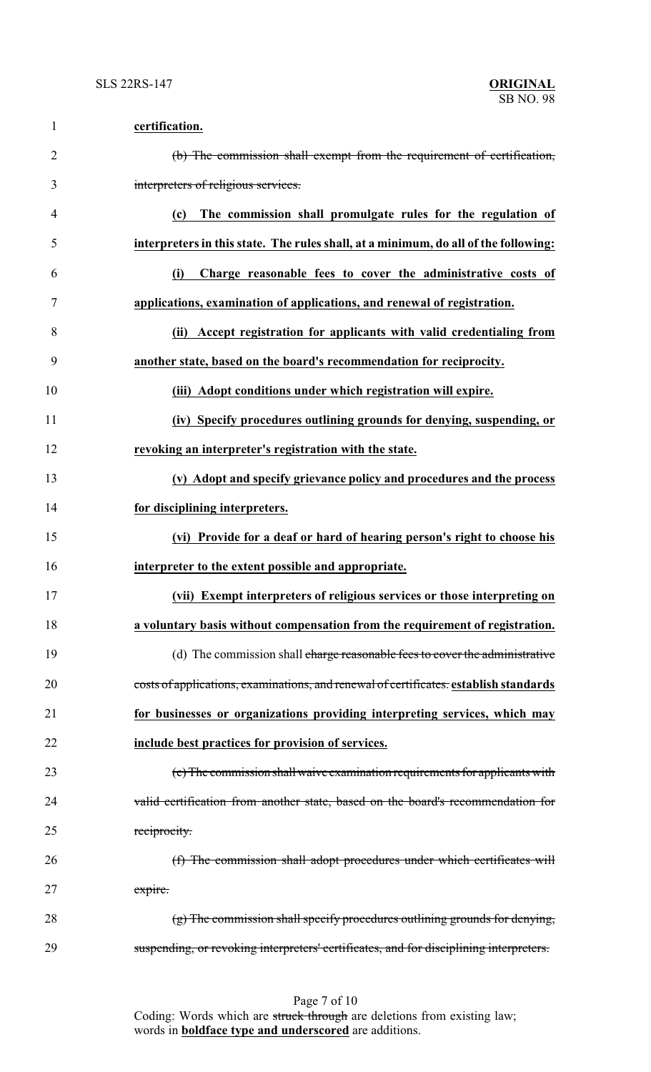| $\mathbf{1}$   | certification.                                                                         |
|----------------|----------------------------------------------------------------------------------------|
| $\overline{2}$ | (b) The commission shall exempt from the requirement of certification,                 |
| 3              | interpreters of religious services.                                                    |
| $\overline{4}$ | The commission shall promulgate rules for the regulation of<br>(c)                     |
| 5              | interpreters in this state. The rules shall, at a minimum, do all of the following:    |
| 6              | Charge reasonable fees to cover the administrative costs of<br>(i)                     |
| 7              | applications, examination of applications, and renewal of registration.                |
| 8              | (ii) Accept registration for applicants with valid credentialing from                  |
| 9              | another state, based on the board's recommendation for reciprocity.                    |
| 10             | (iii) Adopt conditions under which registration will expire.                           |
| 11             | (iv) Specify procedures outlining grounds for denying, suspending, or                  |
| 12             | revoking an interpreter's registration with the state.                                 |
| 13             | (v) Adopt and specify grievance policy and procedures and the process                  |
| 14             | for disciplining interpreters.                                                         |
| 15             | (vi) Provide for a deaf or hard of hearing person's right to choose his                |
| 16             | interpreter to the extent possible and appropriate.                                    |
| 17             | (vii) Exempt interpreters of religious services or those interpreting on               |
| 18             | a voluntary basis without compensation from the requirement of registration.           |
| 19             | (d) The commission shall charge reasonable fees to cover the administrative            |
| 20             | costs of applications, examinations, and renewal of certificates. establish standards  |
| 21             | for businesses or organizations providing interpreting services, which may             |
| 22             | include best practices for provision of services.                                      |
| 23             | (e) The commission shall waive examination requirements for applicants with            |
| 24             | valid certification from another state, based on the board's recommendation for        |
| 25             | reciprocity.                                                                           |
| 26             | (f) The commission shall adopt procedures under which certificates will                |
| 27             | expire.                                                                                |
| 28             | $(g)$ The commission shall specify procedures outlining grounds for denying,           |
| 29             | suspending, or revoking interpreters' certificates, and for disciplining interpreters. |

Page 7 of 10 Coding: Words which are struck through are deletions from existing law; words in **boldface type and underscored** are additions.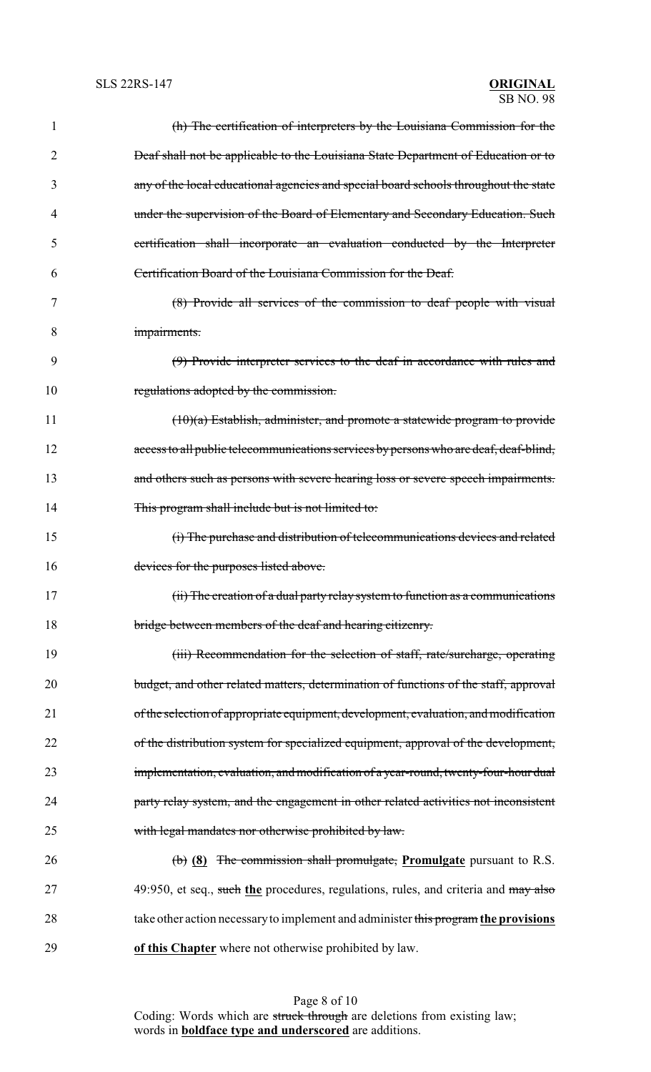| 1  | (h) The certification of interpreters by the Louisiana Commission for the             |
|----|---------------------------------------------------------------------------------------|
| 2  | Deaf shall not be applicable to the Louisiana State Department of Education or to     |
| 3  | any of the local educational agencies and special board schools throughout the state  |
| 4  | under the supervision of the Board of Elementary and Secondary Education. Such        |
| 5  | certification shall incorporate an evaluation conducted by the Interpreter            |
| 6  | Certification Board of the Louisiana Commission for the Deaf.                         |
| 7  | (8) Provide all services of the commission to deaf people with visual                 |
| 8  | impairments.                                                                          |
| 9  | (9) Provide interpreter services to the deaf in accordance with rules and             |
| 10 | regulations adopted by the commission.                                                |
| 11 | $(10)(a)$ Establish, administer, and promote a statewide program to provide           |
| 12 | access to all public telecommunications services by persons who are deaf, deaf-blind, |
| 13 | and others such as persons with severe hearing loss or severe speech impairments.     |
| 14 | This program shall include but is not limited to:                                     |
| 15 | (i) The purchase and distribution of telecommunications devices and related           |
| 16 | devices for the purposes listed above.                                                |
| 17 | (ii) The creation of a dual party relay system to function as a communications        |
| 18 | bridge between members of the deaf and hearing citizenry.                             |
| 19 | (iii) Recommendation for the selection of staff, rate/surcharge, operating            |
| 20 | budget, and other related matters, determination of functions of the staff, approval  |
| 21 | of the selection of appropriate equipment, development, evaluation, and modification  |
| 22 | of the distribution system for specialized equipment, approval of the development,    |
| 23 | implementation, evaluation, and modification of a year-round, twenty-four-hour dual   |
| 24 | party relay system, and the engagement in other related activities not inconsistent   |
| 25 | with legal mandates nor otherwise prohibited by law.                                  |
| 26 | $\phi$ (8) The commission shall promulgate, Promulgate pursuant to R.S.               |
| 27 | 49:950, et seq., such the procedures, regulations, rules, and criteria and may also   |
| 28 | take other action necessary to implement and administer this program the provisions   |
| 29 | of this Chapter where not otherwise prohibited by law.                                |

Page 8 of 10 Coding: Words which are struck through are deletions from existing law; words in **boldface type and underscored** are additions.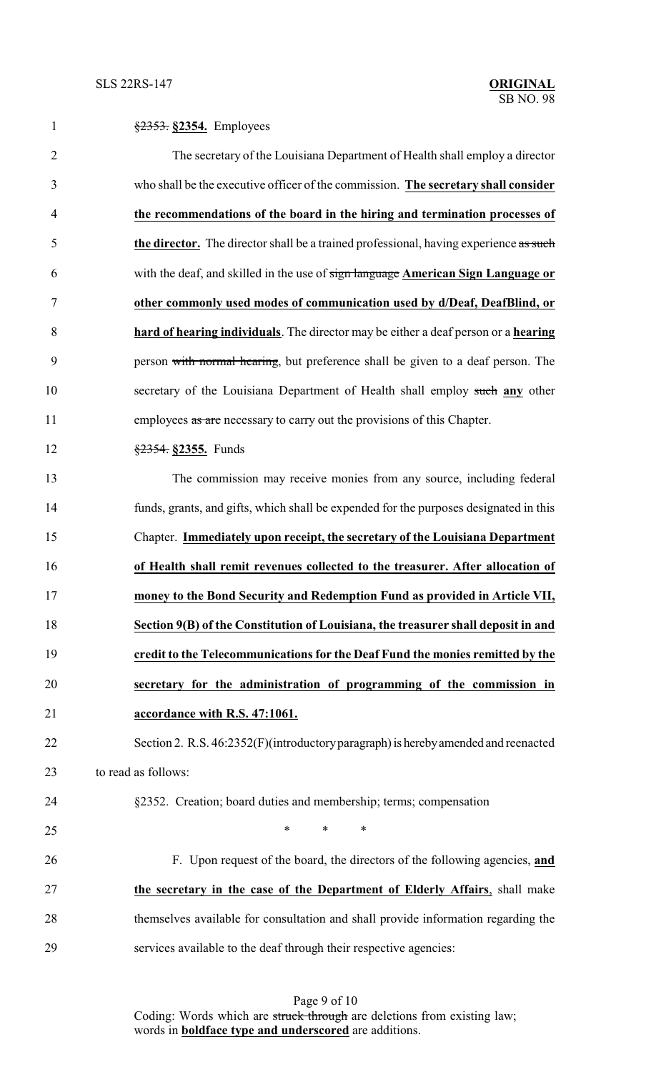| $\mathbf{1}$   | $\frac{2353}{2}$ \$2354. Employees                                                    |
|----------------|---------------------------------------------------------------------------------------|
| $\overline{2}$ | The secretary of the Louisiana Department of Health shall employ a director           |
| 3              | who shall be the executive officer of the commission. The secretary shall consider    |
| $\overline{4}$ | the recommendations of the board in the hiring and termination processes of           |
| 5              | the director. The director shall be a trained professional, having experience as such |
| 6              | with the deaf, and skilled in the use of sign language American Sign Language or      |
| 7              | other commonly used modes of communication used by d/Deaf, DeafBlind, or              |
| 8              | hard of hearing individuals. The director may be either a deaf person or a hearing    |
| 9              | person with normal hearing, but preference shall be given to a deaf person. The       |
| 10             | secretary of the Louisiana Department of Health shall employ such any other           |
| 11             | employees as are necessary to carry out the provisions of this Chapter.               |
| 12             | $\frac{$2354}{$2355}$ . Funds                                                         |
| 13             | The commission may receive monies from any source, including federal                  |
| 14             | funds, grants, and gifts, which shall be expended for the purposes designated in this |
| 15             | Chapter. Immediately upon receipt, the secretary of the Louisiana Department          |
| 16             | of Health shall remit revenues collected to the treasurer. After allocation of        |
| 17             | money to the Bond Security and Redemption Fund as provided in Article VII,            |
| 18             | Section 9(B) of the Constitution of Louisiana, the treasurer shall deposit in and     |
| 19             | credit to the Telecommunications for the Deaf Fund the monies remitted by the         |
| 20             | secretary for the administration of programming of the commission in                  |
| 21             | accordance with R.S. 47:1061.                                                         |
| 22             | Section 2. R.S. 46:2352(F)(introductory paragraph) is hereby amended and reenacted    |
| 23             | to read as follows:                                                                   |
| 24             | §2352. Creation; board duties and membership; terms; compensation                     |
| 25             | $\ast$<br>$\ast$<br>$\ast$                                                            |
| 26             | F. Upon request of the board, the directors of the following agencies, and            |
| 27             | the secretary in the case of the Department of Elderly Affairs, shall make            |
| 28             | themselves available for consultation and shall provide information regarding the     |
| 29             | services available to the deaf through their respective agencies:                     |

Page 9 of 10 Coding: Words which are struck through are deletions from existing law; words in **boldface type and underscored** are additions.